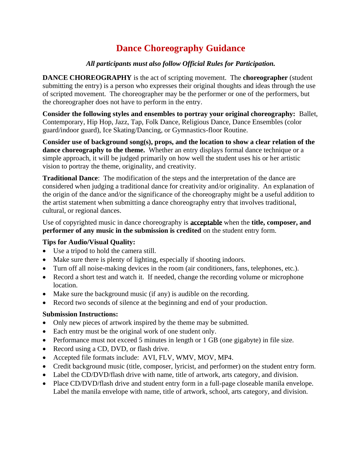# **Dance Choreography Guidance**

### *All participants must also follow Official Rules for Participation.*

**DANCE CHOREOGRAPHY** is the act of scripting movement. The **choreographer** (student submitting the entry) is a person who expresses their original thoughts and ideas through the use of scripted movement. The choreographer may be the performer or one of the performers, but the choreographer does not have to perform in the entry.

**Consider the following styles and ensembles to portray your original choreography:** Ballet, Contemporary, Hip Hop, Jazz, Tap, Folk Dance, Religious Dance, Dance Ensembles (color guard/indoor guard), Ice Skating/Dancing, or Gymnastics-floor Routine.

**Consider use of background song(s), props, and the location to show a clear relation of the dance choreography to the theme.** Whether an entry displays formal dance technique or a simple approach, it will be judged primarily on how well the student uses his or her artistic vision to portray the theme, originality, and creativity.

**Traditional Dance**: The modification of the steps and the interpretation of the dance are considered when judging a traditional dance for creativity and/or originality. An explanation of the origin of the dance and/or the significance of the choreography might be a useful addition to the artist statement when submitting a dance choreography entry that involves traditional, cultural, or regional dances.

Use of copyrighted music in dance choreography is **acceptable** when the **title, composer, and performer of any music in the submission is credited** on the student entry form.

## **Tips for Audio/Visual Quality:**

- Use a tripod to hold the camera still.
- Make sure there is plenty of lighting, especially if shooting indoors.
- Turn off all noise-making devices in the room (air conditioners, fans, telephones, etc.).
- Record a short test and watch it. If needed, change the recording volume or microphone location.
- Make sure the background music (if any) is audible on the recording.
- Record two seconds of silence at the beginning and end of your production.

- Only new pieces of artwork inspired by the theme may be submitted.
- Each entry must be the original work of one student only.
- Performance must not exceed 5 minutes in length or 1 GB (one gigabyte) in file size.
- Record using a CD, DVD, or flash drive.
- Accepted file formats include: AVI, FLV, WMV, MOV, MP4.
- Credit background music (title, composer, lyricist, and performer) on the student entry form.
- Label the CD/DVD/flash drive with name, title of artwork, arts category, and division.
- Place CD/DVD/flash drive and student entry form in a full-page closeable manila envelope. Label the manila envelope with name, title of artwork, school, arts category, and division.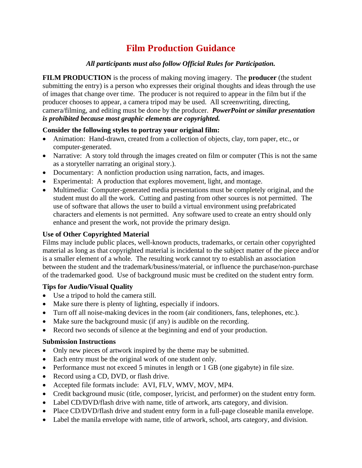## **Film Production Guidance**

### *All participants must also follow Official Rules for Participation.*

**FILM PRODUCTION** is the process of making moving imagery. The **producer** (the student submitting the entry) is a person who expresses their original thoughts and ideas through the use of images that change over time. The producer is not required to appear in the film but if the producer chooses to appear, a camera tripod may be used. All screenwriting, directing, camera/filming, and editing must be done by the producer. *PowerPoint or similar presentation is prohibited because most graphic elements are copyrighted.*

### **Consider the following styles to portray your original film:**

- Animation: Hand-drawn, created from a collection of objects, clay, torn paper, etc., or computer-generated.
- Narrative: A story told through the images created on film or computer (This is not the same as a storyteller narrating an original story.).
- Documentary: A nonfiction production using narration, facts, and images.
- Experimental: A production that explores movement, light, and montage.
- Multimedia: Computer-generated media presentations must be completely original, and the student must do all the work. Cutting and pasting from other sources is not permitted. The use of software that allows the user to build a virtual environment using prefabricated characters and elements is not permitted. Any software used to create an entry should only enhance and present the work, not provide the primary design.

### **Use of Other Copyrighted Material**

Films may include public places, well-known products, trademarks, or certain other copyrighted material as long as that copyrighted material is incidental to the subject matter of the piece and/or is a smaller element of a whole. The resulting work cannot try to establish an association between the student and the trademark/business/material, or influence the purchase/non-purchase of the trademarked good. Use of background music must be credited on the student entry form.

### **Tips for Audio/Visual Quality**

- Use a tripod to hold the camera still.
- Make sure there is plenty of lighting, especially if indoors.
- Turn off all noise-making devices in the room (air conditioners, fans, telephones, etc.).
- Make sure the background music (if any) is audible on the recording.
- Record two seconds of silence at the beginning and end of your production.

- Only new pieces of artwork inspired by the theme may be submitted.
- Each entry must be the original work of one student only.
- Performance must not exceed 5 minutes in length or 1 GB (one gigabyte) in file size.
- Record using a CD, DVD, or flash drive.
- Accepted file formats include: AVI, FLV, WMV, MOV, MP4.
- Credit background music (title, composer, lyricist, and performer) on the student entry form.
- Label CD/DVD/flash drive with name, title of artwork, arts category, and division.
- Place CD/DVD/flash drive and student entry form in a full-page closeable manila envelope.
- Label the manila envelope with name, title of artwork, school, arts category, and division.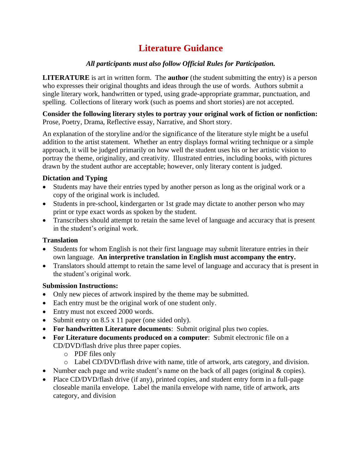# **Literature Guidance**

## *All participants must also follow Official Rules for Participation.*

**LITERATURE** is art in written form. The **author** (the student submitting the entry) is a person who expresses their original thoughts and ideas through the use of words. Authors submit a single literary work, handwritten or typed, using grade-appropriate grammar, punctuation, and spelling. Collections of literary work (such as poems and short stories) are not accepted.

**Consider the following literary styles to portray your original work of fiction or nonfiction:** Prose, Poetry, Drama, Reflective essay, Narrative, and Short story.

An explanation of the storyline and/or the significance of the literature style might be a useful addition to the artist statement. Whether an entry displays formal writing technique or a simple approach, it will be judged primarily on how well the student uses his or her artistic vision to portray the theme, originality, and creativity. Illustrated entries, including books, with pictures drawn by the student author are acceptable; however, only literary content is judged.

### **Dictation and Typing**

- Students may have their entries typed by another person as long as the original work or a copy of the original work is included.
- Students in pre-school, kindergarten or 1st grade may dictate to another person who may print or type exact words as spoken by the student.
- Transcribers should attempt to retain the same level of language and accuracy that is present in the student's original work.

## **Translation**

- Students for whom English is not their first language may submit literature entries in their own language. **An interpretive translation in English must accompany the entry.**
- Translators should attempt to retain the same level of language and accuracy that is present in the student's original work.

- Only new pieces of artwork inspired by the theme may be submitted.
- Each entry must be the original work of one student only.
- Entry must not exceed 2000 words.
- Submit entry on 8.5 x 11 paper (one sided only).
- **For handwritten Literature documents**: Submit original plus two copies.
- **For Literature documents produced on a computer**: Submit electronic file on a CD/DVD/flash drive plus three paper copies.
	- o PDF files only
	- o Label CD/DVD/flash drive with name, title of artwork, arts category, and division.
- Number each page and write student's name on the back of all pages (original & copies).
- Place CD/DVD/flash drive (if any), printed copies, and student entry form in a full-page closeable manila envelope. Label the manila envelope with name, title of artwork, arts category, and division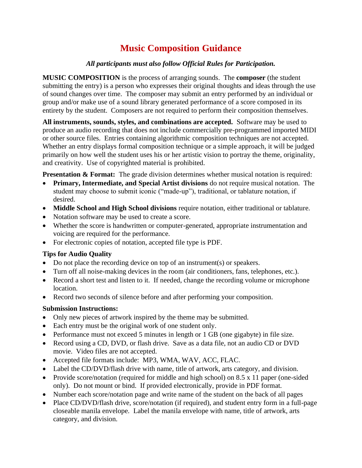# **Music Composition Guidance**

## *All participants must also follow Official Rules for Participation.*

**MUSIC COMPOSITION** is the process of arranging sounds. The **composer** (the student submitting the entry) is a person who expresses their original thoughts and ideas through the use of sound changes over time. The composer may submit an entry performed by an individual or group and/or make use of a sound library generated performance of a score composed in its entirety by the student. Composers are not required to perform their composition themselves.

**All instruments, sounds, styles, and combinations are accepted.** Software may be used to produce an audio recording that does not include commercially pre-programmed imported MIDI or other source files. Entries containing algorithmic composition techniques are not accepted. Whether an entry displays formal composition technique or a simple approach, it will be judged primarily on how well the student uses his or her artistic vision to portray the theme, originality, and creativity. Use of copyrighted material is prohibited.

**Presentation & Format:** The grade division determines whether musical notation is required:

- **Primary, Intermediate, and Special Artist divisions** do not require musical notation. The student may choose to submit iconic ("made-up"), traditional, or tablature notation, if desired.
- **Middle School and High School divisions** require notation, either traditional or tablature.
- Notation software may be used to create a score.
- Whether the score is handwritten or computer-generated, appropriate instrumentation and voicing are required for the performance.
- For electronic copies of notation, accepted file type is PDF.

### **Tips for Audio Quality**

- Do not place the recording device on top of an instrument(s) or speakers.
- Turn off all noise-making devices in the room (air conditioners, fans, telephones, etc.).
- Record a short test and listen to it. If needed, change the recording volume or microphone location.
- Record two seconds of silence before and after performing your composition.

- Only new pieces of artwork inspired by the theme may be submitted.
- Each entry must be the original work of one student only.
- Performance must not exceed 5 minutes in length or 1 GB (one gigabyte) in file size.
- Record using a CD, DVD, or flash drive. Save as a data file, not an audio CD or DVD movie. Video files are not accepted.
- Accepted file formats include: MP3, WMA, WAV, ACC, FLAC.
- Label the CD/DVD/flash drive with name, title of artwork, arts category, and division.
- Provide score/notation (required for middle and high school) on 8.5 x 11 paper (one-sided only). Do not mount or bind. If provided electronically, provide in PDF format.
- Number each score/notation page and write name of the student on the back of all pages
- Place CD/DVD/flash drive, score/notation (if required), and student entry form in a full-page closeable manila envelope. Label the manila envelope with name, title of artwork, arts category, and division.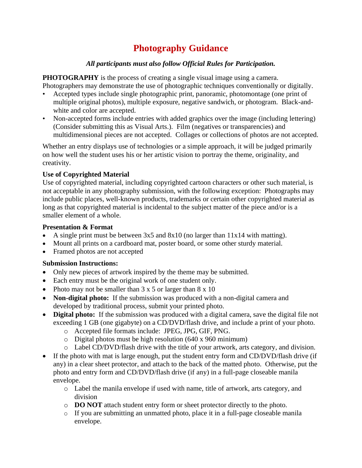## **Photography Guidance**

## *All participants must also follow Official Rules for Participation.*

**PHOTOGRAPHY** is the process of creating a single visual image using a camera. Photographers may demonstrate the use of photographic techniques conventionally or digitally.

- Accepted types include single photographic print, panoramic, photomontage (one print of multiple original photos), multiple exposure, negative sandwich, or photogram. Black-andwhite and color are accepted.
- Non-accepted forms include entries with added graphics over the image (including lettering) (Consider submitting this as Visual Arts.). Film (negatives or transparencies) and multidimensional pieces are not accepted. Collages or collections of photos are not accepted.

Whether an entry displays use of technologies or a simple approach, it will be judged primarily on how well the student uses his or her artistic vision to portray the theme, originality, and creativity.

### **Use of Copyrighted Material**

Use of copyrighted material, including copyrighted cartoon characters or other such material, is not acceptable in any photography submission, with the following exception: Photographs may include public places, well-known products, trademarks or certain other copyrighted material as long as that copyrighted material is incidental to the subject matter of the piece and/or is a smaller element of a whole.

#### **Presentation & Format**

- A single print must be between  $3x5$  and  $8x10$  (no larger than  $11x14$  with matting).
- Mount all prints on a cardboard mat, poster board, or some other sturdy material.
- Framed photos are not accepted

- Only new pieces of artwork inspired by the theme may be submitted.
- Each entry must be the original work of one student only.
- Photo may not be smaller than  $3 \times 5$  or larger than  $8 \times 10$
- **Non-digital photo:** If the submission was produced with a non-digital camera and developed by traditional process, submit your printed photo.
- **Digital photo:** If the submission was produced with a digital camera, save the digital file not exceeding 1 GB (one gigabyte) on a CD/DVD/flash drive, and include a print of your photo.
	- o Accepted file formats include: JPEG, JPG, GIF, PNG.
	- o Digital photos must be high resolution (640 x 960 minimum)
	- o Label CD/DVD/flash drive with the title of your artwork, arts category, and division.
- If the photo with mat is large enough, put the student entry form and CD/DVD/flash drive (if any) in a clear sheet protector, and attach to the back of the matted photo. Otherwise, put the photo and entry form and CD/DVD/flash drive (if any) in a full-page closeable manila envelope.
	- o Label the manila envelope if used with name, title of artwork, arts category, and division
	- o **DO NOT** attach student entry form or sheet protector directly to the photo.
	- o If you are submitting an unmatted photo, place it in a full-page closeable manila envelope.